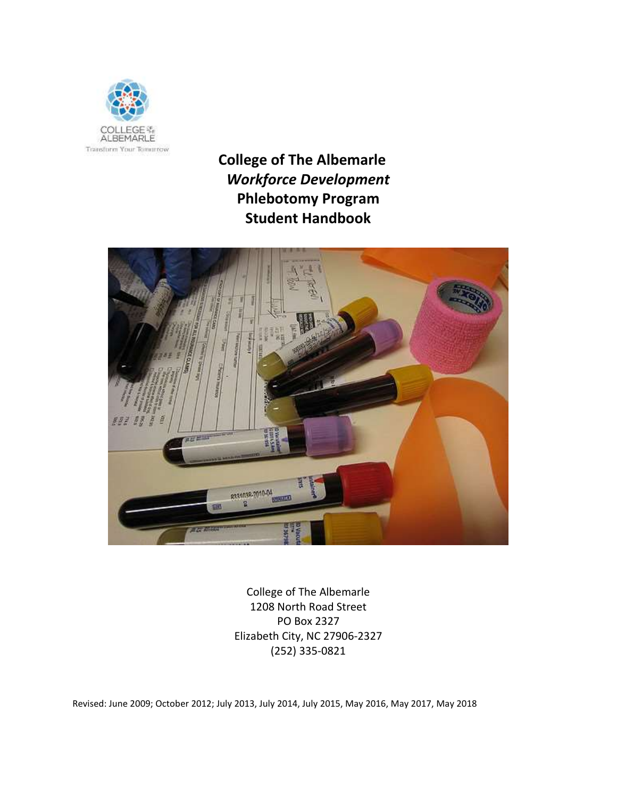

 **College of The Albemarle** *Workforce Development* **Phlebotomy Program Student Handbook**



College of The Albemarle 1208 North Road Street PO Box 2327 Elizabeth City, NC 27906-2327 (252) 335-0821

Revised: June 2009; October 2012; July 2013, July 2014, July 2015, May 2016, May 2017, May 2018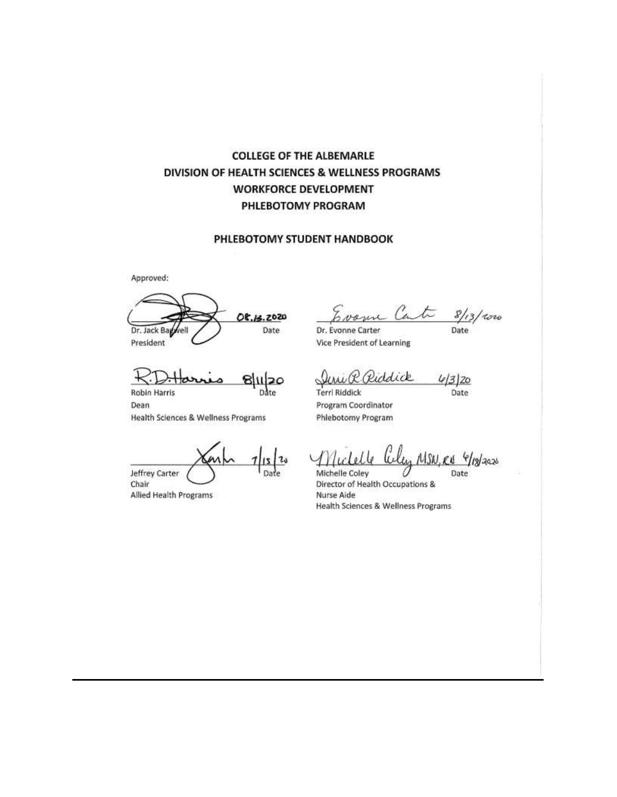# **COLLEGE OF THE ALBEMARLE** DIVISION OF HEALTH SCIENCES & WELLNESS PROGRAMS **WORKFORCE DEVELOPMENT** PHLEBOTOMY PROGRAM

#### PHLEBOTOMY STUDENT HANDBOOK

Approved:

08.13.2020 Date Dr. Jack Bag President

20 **Robin Harris** 

Dean Health Sciences & Wellness Programs

Jeffrey Carter Chair

Allied Health Programs

Cart  $8/13/100$ Date

Dr. Evonne Carter Vice President of Learning

Riddick  $4/3/20$ Date

**Terri Riddick** Program Coordinator Phlebotomy Program

MSN, Rd <sup>(e</sup>/13/2020)

Michelle Coley Director of Health Occupations & Nurse Aide Health Sciences & Wellness Programs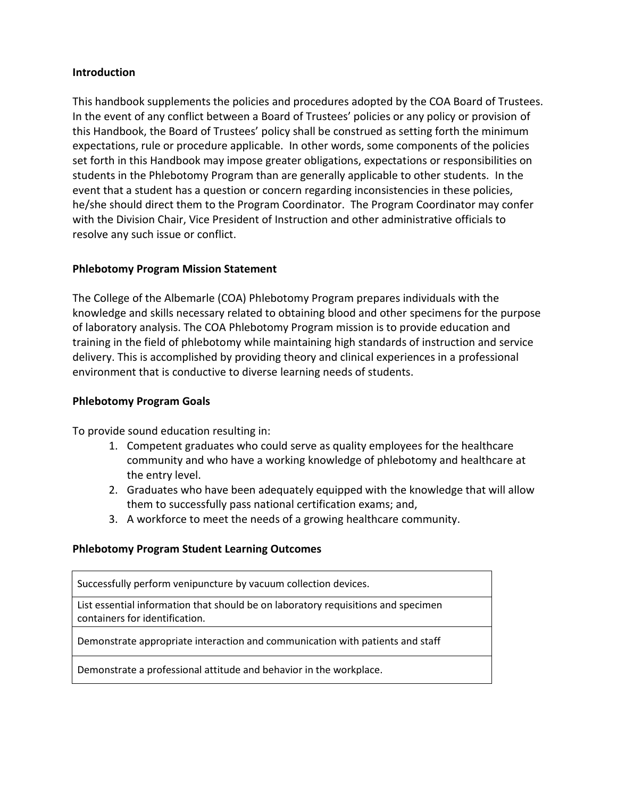# **Introduction**

This handbook supplements the policies and procedures adopted by the COA Board of Trustees. In the event of any conflict between a Board of Trustees' policies or any policy or provision of this Handbook, the Board of Trustees' policy shall be construed as setting forth the minimum expectations, rule or procedure applicable. In other words, some components of the policies set forth in this Handbook may impose greater obligations, expectations or responsibilities on students in the Phlebotomy Program than are generally applicable to other students. In the event that a student has a question or concern regarding inconsistencies in these policies, he/she should direct them to the Program Coordinator. The Program Coordinator may confer with the Division Chair, Vice President of Instruction and other administrative officials to resolve any such issue or conflict.

# **Phlebotomy Program Mission Statement**

The College of the Albemarle (COA) Phlebotomy Program prepares individuals with the knowledge and skills necessary related to obtaining blood and other specimens for the purpose of laboratory analysis. The COA Phlebotomy Program mission is to provide education and training in the field of phlebotomy while maintaining high standards of instruction and service delivery. This is accomplished by providing theory and clinical experiences in a professional environment that is conductive to diverse learning needs of students.

#### **Phlebotomy Program Goals**

To provide sound education resulting in:

- 1. Competent graduates who could serve as quality employees for the healthcare community and who have a working knowledge of phlebotomy and healthcare at the entry level.
- 2. Graduates who have been adequately equipped with the knowledge that will allow them to successfully pass national certification exams; and,
- 3. A workforce to meet the needs of a growing healthcare community.

#### **Phlebotomy Program Student Learning Outcomes**

Successfully perform venipuncture by vacuum collection devices.

List essential information that should be on laboratory requisitions and specimen containers for identification.

Demonstrate appropriate interaction and communication with patients and staff

Demonstrate a professional attitude and behavior in the workplace.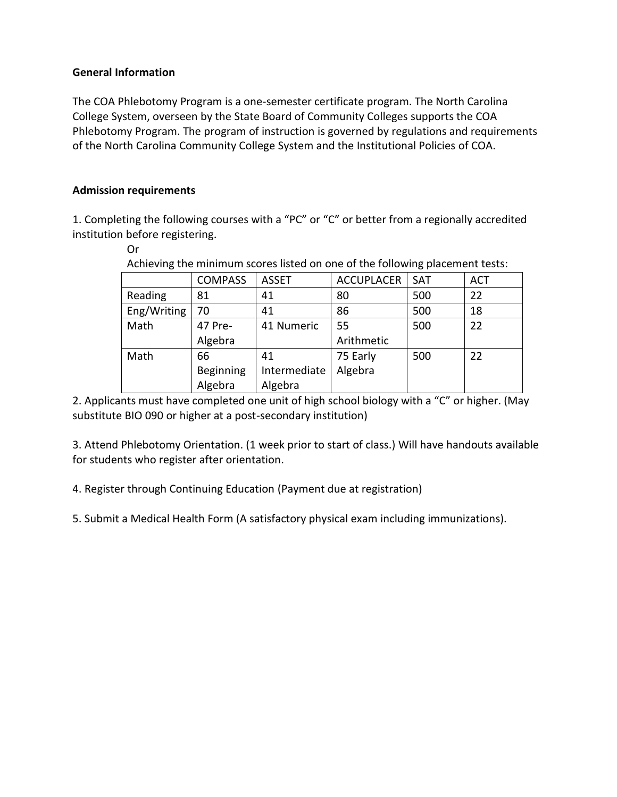# **General Information**

The COA Phlebotomy Program is a one-semester certificate program. The North Carolina College System, overseen by the State Board of Community Colleges supports the COA Phlebotomy Program. The program of instruction is governed by regulations and requirements of the North Carolina Community College System and the Institutional Policies of COA.

# **Admission requirements**

1. Completing the following courses with a "PC" or "C" or better from a regionally accredited institution before registering.

```
Or
```
Achieving the minimum scores listed on one of the following placement tests:

|             | <b>COMPASS</b>   | <b>ASSET</b> | <b>ACCUPLACER</b> | SAT | <b>ACT</b> |
|-------------|------------------|--------------|-------------------|-----|------------|
| Reading     | 81               | 41           | 80                | 500 | 22         |
| Eng/Writing | 70               | 41           | 86                | 500 | 18         |
| Math        | 47 Pre-          | 41 Numeric   | 55                | 500 | 22         |
|             | Algebra          |              | Arithmetic        |     |            |
| Math        | 66               | 41           | 75 Early          | 500 | 22         |
|             | <b>Beginning</b> | Intermediate | Algebra           |     |            |
|             | Algebra          | Algebra      |                   |     |            |

2. Applicants must have completed one unit of high school biology with a "C" or higher. (May substitute BIO 090 or higher at a post-secondary institution)

3. Attend Phlebotomy Orientation. (1 week prior to start of class.) Will have handouts available for students who register after orientation.

4. Register through Continuing Education (Payment due at registration)

5. Submit a Medical Health Form (A satisfactory physical exam including immunizations).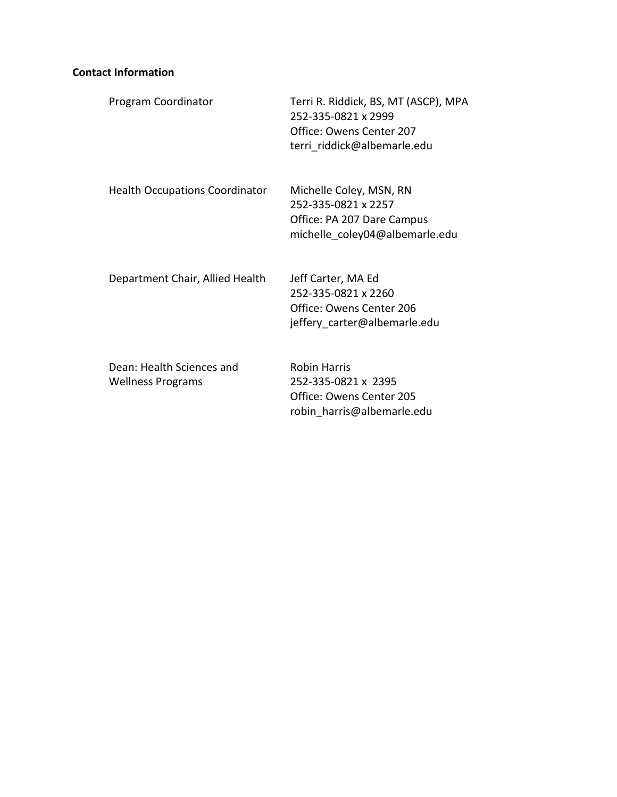# **Contact Information**

| Program Coordinator                                   | Terri R. Riddick, BS, MT (ASCP), MPA<br>252-335-0821 x 2999<br>Office: Owens Center 207<br>terri riddick@albemarle.edu |
|-------------------------------------------------------|------------------------------------------------------------------------------------------------------------------------|
| <b>Health Occupations Coordinator</b>                 | Michelle Coley, MSN, RN<br>252-335-0821 x 2257<br>Office: PA 207 Dare Campus<br>michelle coley04@albemarle.edu         |
| Department Chair, Allied Health                       | Jeff Carter, MA Ed<br>252-335-0821 x 2260<br>Office: Owens Center 206<br>jeffery carter@albemarle.edu                  |
| Dean: Health Sciences and<br><b>Wellness Programs</b> | <b>Robin Harris</b><br>252-335-0821 x 2395<br>Office: Owens Center 205<br>robin harris@albemarle.edu                   |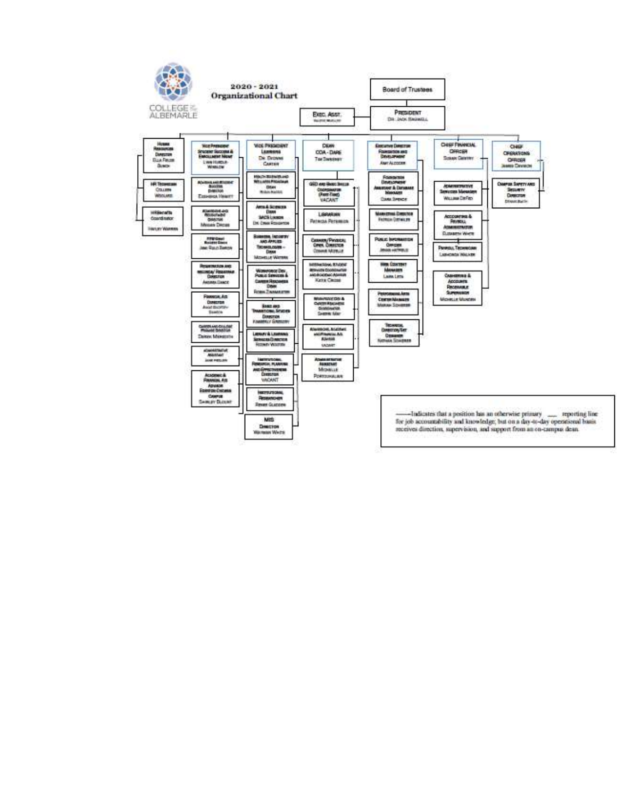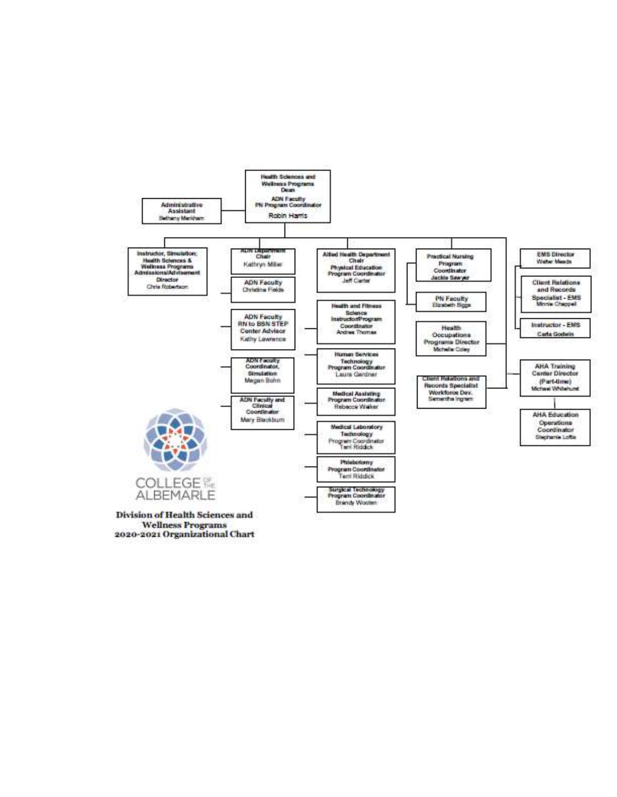

**Wellness Programs** 2020-2021 Organizational Chart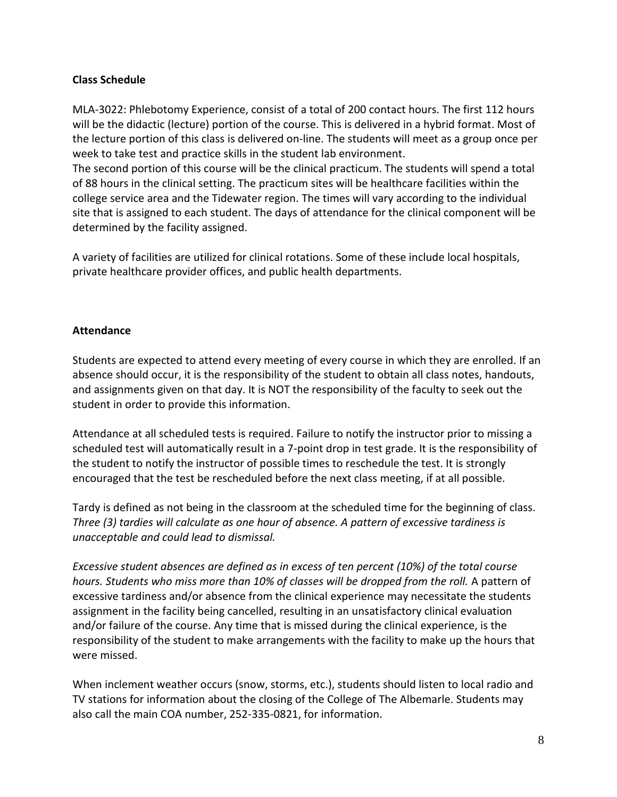# **Class Schedule**

MLA-3022: Phlebotomy Experience, consist of a total of 200 contact hours. The first 112 hours will be the didactic (lecture) portion of the course. This is delivered in a hybrid format. Most of the lecture portion of this class is delivered on-line. The students will meet as a group once per week to take test and practice skills in the student lab environment.

The second portion of this course will be the clinical practicum. The students will spend a total of 88 hours in the clinical setting. The practicum sites will be healthcare facilities within the college service area and the Tidewater region. The times will vary according to the individual site that is assigned to each student. The days of attendance for the clinical component will be determined by the facility assigned.

A variety of facilities are utilized for clinical rotations. Some of these include local hospitals, private healthcare provider offices, and public health departments.

# **Attendance**

Students are expected to attend every meeting of every course in which they are enrolled. If an absence should occur, it is the responsibility of the student to obtain all class notes, handouts, and assignments given on that day. It is NOT the responsibility of the faculty to seek out the student in order to provide this information.

Attendance at all scheduled tests is required. Failure to notify the instructor prior to missing a scheduled test will automatically result in a 7-point drop in test grade. It is the responsibility of the student to notify the instructor of possible times to reschedule the test. It is strongly encouraged that the test be rescheduled before the next class meeting, if at all possible.

Tardy is defined as not being in the classroom at the scheduled time for the beginning of class. *Three (3) tardies will calculate as one hour of absence. A pattern of excessive tardiness is unacceptable and could lead to dismissal.*

*Excessive student absences are defined as in excess of ten percent (10%) of the total course hours. Students who miss more than 10% of classes will be dropped from the roll.* A pattern of excessive tardiness and/or absence from the clinical experience may necessitate the students assignment in the facility being cancelled, resulting in an unsatisfactory clinical evaluation and/or failure of the course. Any time that is missed during the clinical experience, is the responsibility of the student to make arrangements with the facility to make up the hours that were missed.

When inclement weather occurs (snow, storms, etc.), students should listen to local radio and TV stations for information about the closing of the College of The Albemarle. Students may also call the main COA number, 252-335-0821, for information.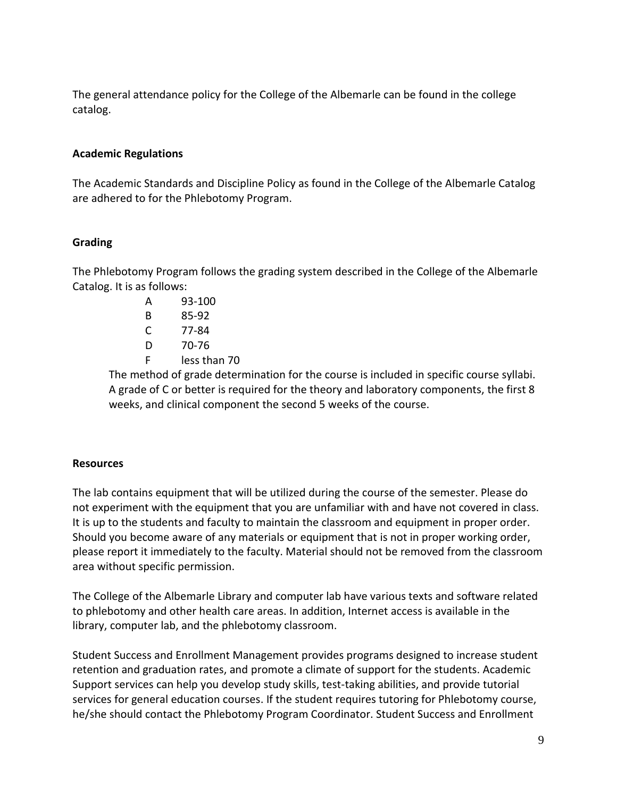The general attendance policy for the College of the Albemarle can be found in the college catalog.

# **Academic Regulations**

The Academic Standards and Discipline Policy as found in the College of the Albemarle Catalog are adhered to for the Phlebotomy Program.

# **Grading**

The Phlebotomy Program follows the grading system described in the College of the Albemarle Catalog. It is as follows:

> A 93-100 B 85-92 C 77-84 D 70-76 F less than 70

The method of grade determination for the course is included in specific course syllabi. A grade of C or better is required for the theory and laboratory components, the first 8 weeks, and clinical component the second 5 weeks of the course.

#### **Resources**

The lab contains equipment that will be utilized during the course of the semester. Please do not experiment with the equipment that you are unfamiliar with and have not covered in class. It is up to the students and faculty to maintain the classroom and equipment in proper order. Should you become aware of any materials or equipment that is not in proper working order, please report it immediately to the faculty. Material should not be removed from the classroom area without specific permission.

The College of the Albemarle Library and computer lab have various texts and software related to phlebotomy and other health care areas. In addition, Internet access is available in the library, computer lab, and the phlebotomy classroom.

Student Success and Enrollment Management provides programs designed to increase student retention and graduation rates, and promote a climate of support for the students. Academic Support services can help you develop study skills, test-taking abilities, and provide tutorial services for general education courses. If the student requires tutoring for Phlebotomy course, he/she should contact the Phlebotomy Program Coordinator. Student Success and Enrollment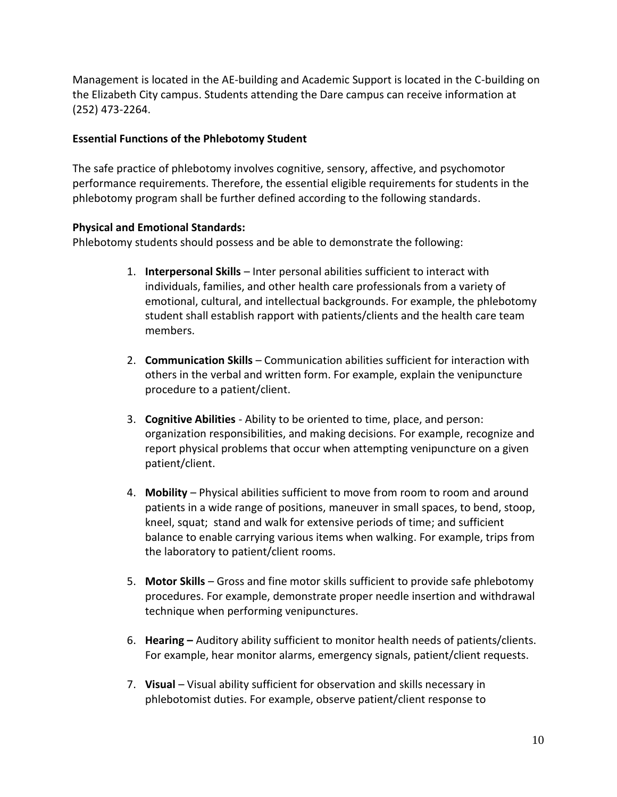Management is located in the AE-building and Academic Support is located in the C-building on the Elizabeth City campus. Students attending the Dare campus can receive information at (252) 473-2264.

# **Essential Functions of the Phlebotomy Student**

The safe practice of phlebotomy involves cognitive, sensory, affective, and psychomotor performance requirements. Therefore, the essential eligible requirements for students in the phlebotomy program shall be further defined according to the following standards.

# **Physical and Emotional Standards:**

Phlebotomy students should possess and be able to demonstrate the following:

- 1. **Interpersonal Skills** Inter personal abilities sufficient to interact with individuals, families, and other health care professionals from a variety of emotional, cultural, and intellectual backgrounds. For example, the phlebotomy student shall establish rapport with patients/clients and the health care team members.
- 2. **Communication Skills**  Communication abilities sufficient for interaction with others in the verbal and written form. For example, explain the venipuncture procedure to a patient/client.
- 3. **Cognitive Abilities**  Ability to be oriented to time, place, and person: organization responsibilities, and making decisions. For example, recognize and report physical problems that occur when attempting venipuncture on a given patient/client.
- 4. **Mobility**  Physical abilities sufficient to move from room to room and around patients in a wide range of positions, maneuver in small spaces, to bend, stoop, kneel, squat; stand and walk for extensive periods of time; and sufficient balance to enable carrying various items when walking. For example, trips from the laboratory to patient/client rooms.
- 5. **Motor Skills**  Gross and fine motor skills sufficient to provide safe phlebotomy procedures. For example, demonstrate proper needle insertion and withdrawal technique when performing venipunctures.
- 6. **Hearing –** Auditory ability sufficient to monitor health needs of patients/clients. For example, hear monitor alarms, emergency signals, patient/client requests.
- 7. **Visual**  Visual ability sufficient for observation and skills necessary in phlebotomist duties. For example, observe patient/client response to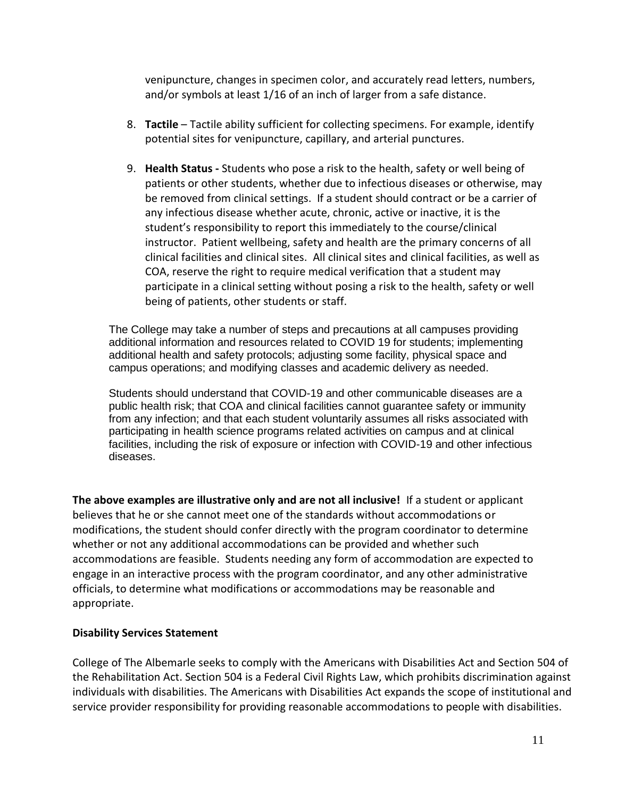venipuncture, changes in specimen color, and accurately read letters, numbers, and/or symbols at least 1/16 of an inch of larger from a safe distance.

- 8. **Tactile** Tactile ability sufficient for collecting specimens. For example, identify potential sites for venipuncture, capillary, and arterial punctures.
- 9. **Health Status -** Students who pose a risk to the health, safety or well being of patients or other students, whether due to infectious diseases or otherwise, may be removed from clinical settings. If a student should contract or be a carrier of any infectious disease whether acute, chronic, active or inactive, it is the student's responsibility to report this immediately to the course/clinical instructor. Patient wellbeing, safety and health are the primary concerns of all clinical facilities and clinical sites. All clinical sites and clinical facilities, as well as COA, reserve the right to require medical verification that a student may participate in a clinical setting without posing a risk to the health, safety or well being of patients, other students or staff.

The College may take a number of steps and precautions at all campuses providing additional information and resources related to COVID 19 for students; implementing additional health and safety protocols; adjusting some facility, physical space and campus operations; and modifying classes and academic delivery as needed.

Students should understand that COVID-19 and other communicable diseases are a public health risk; that COA and clinical facilities cannot guarantee safety or immunity from any infection; and that each student voluntarily assumes all risks associated with participating in health science programs related activities on campus and at clinical facilities, including the risk of exposure or infection with COVID-19 and other infectious diseases.

**The above examples are illustrative only and are not all inclusive!** If a student or applicant believes that he or she cannot meet one of the standards without accommodations or modifications, the student should confer directly with the program coordinator to determine whether or not any additional accommodations can be provided and whether such accommodations are feasible. Students needing any form of accommodation are expected to engage in an interactive process with the program coordinator, and any other administrative officials, to determine what modifications or accommodations may be reasonable and appropriate.

# **Disability Services Statement**

College of The Albemarle seeks to comply with the Americans with Disabilities Act and Section 504 of the Rehabilitation Act. Section 504 is a Federal Civil Rights Law, which prohibits discrimination against individuals with disabilities. The Americans with Disabilities Act expands the scope of institutional and service provider responsibility for providing reasonable accommodations to people with disabilities.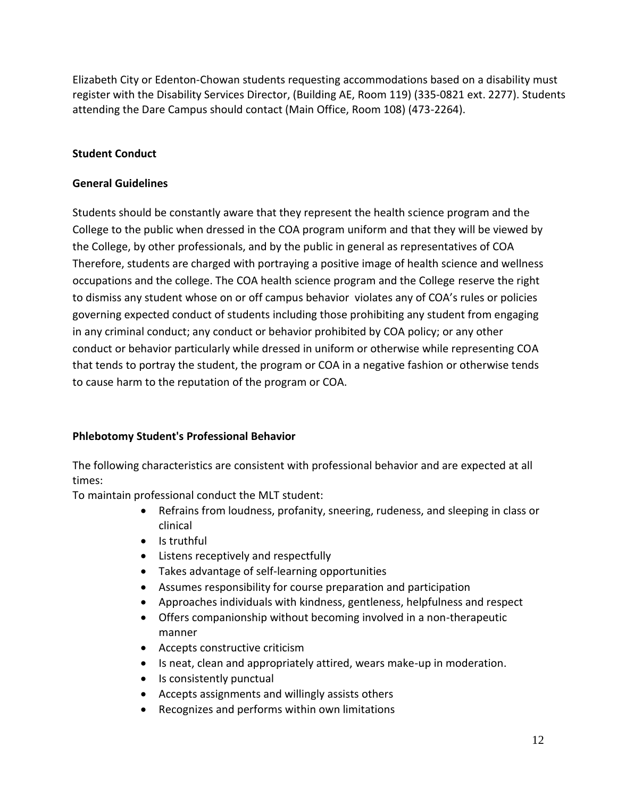Elizabeth City or Edenton-Chowan students requesting accommodations based on a disability must register with the Disability Services Director, (Building AE, Room 119) (335-0821 ext. 2277). Students attending the Dare Campus should contact (Main Office, Room 108) (473-2264).

# **Student Conduct**

# **General Guidelines**

Students should be constantly aware that they represent the health science program and the College to the public when dressed in the COA program uniform and that they will be viewed by the College, by other professionals, and by the public in general as representatives of COA Therefore, students are charged with portraying a positive image of health science and wellness occupations and the college. The COA health science program and the College reserve the right to dismiss any student whose on or off campus behavior violates any of COA's rules or policies governing expected conduct of students including those prohibiting any student from engaging in any criminal conduct; any conduct or behavior prohibited by COA policy; or any other conduct or behavior particularly while dressed in uniform or otherwise while representing COA that tends to portray the student, the program or COA in a negative fashion or otherwise tends to cause harm to the reputation of the program or COA.

# **Phlebotomy Student's Professional Behavior**

The following characteristics are consistent with professional behavior and are expected at all times:

To maintain professional conduct the MLT student:

- Refrains from loudness, profanity, sneering, rudeness, and sleeping in class or clinical
- Is truthful
- Listens receptively and respectfully
- Takes advantage of self-learning opportunities
- Assumes responsibility for course preparation and participation
- Approaches individuals with kindness, gentleness, helpfulness and respect
- Offers companionship without becoming involved in a non-therapeutic manner
- Accepts constructive criticism
- Is neat, clean and appropriately attired, wears make-up in moderation.
- Is consistently punctual
- Accepts assignments and willingly assists others
- Recognizes and performs within own limitations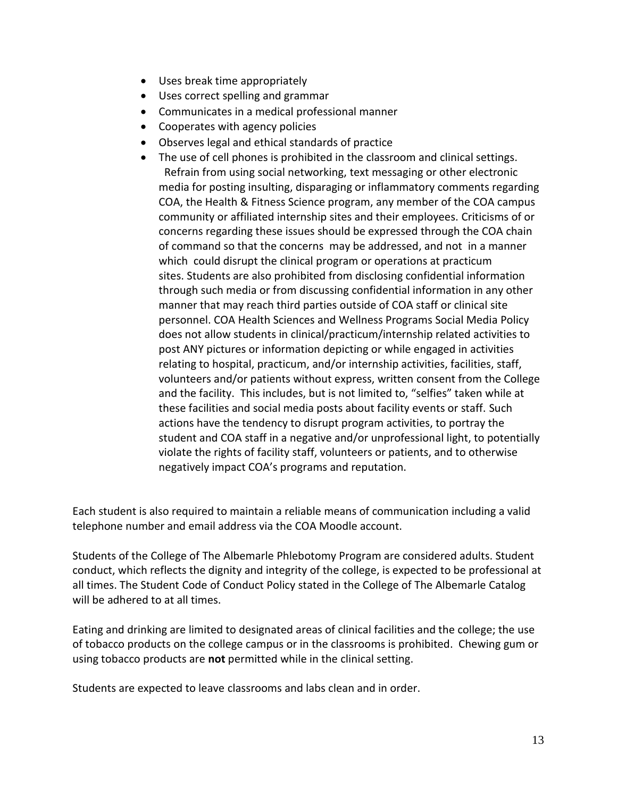- Uses break time appropriately
- Uses correct spelling and grammar
- Communicates in a medical professional manner
- Cooperates with agency policies
- Observes legal and ethical standards of practice
- The use of cell phones is prohibited in the classroom and clinical settings. Refrain from using social networking, text messaging or other electronic media for posting insulting, disparaging or inflammatory comments regarding COA, the Health & Fitness Science program, any member of the COA campus community or affiliated internship sites and their employees. Criticisms of or concerns regarding these issues should be expressed through the COA chain of command so that the concerns may be addressed, and not in a manner which could disrupt the clinical program or operations at practicum sites. Students are also prohibited from disclosing confidential information through such media or from discussing confidential information in any other manner that may reach third parties outside of COA staff or clinical site personnel. COA Health Sciences and Wellness Programs Social Media Policy does not allow students in clinical/practicum/internship related activities to post ANY pictures or information depicting or while engaged in activities relating to hospital, practicum, and/or internship activities, facilities, staff, volunteers and/or patients without express, written consent from the College and the facility. This includes, but is not limited to, "selfies" taken while at these facilities and social media posts about facility events or staff. Such actions have the tendency to disrupt program activities, to portray the student and COA staff in a negative and/or unprofessional light, to potentially violate the rights of facility staff, volunteers or patients, and to otherwise negatively impact COA's programs and reputation.

Each student is also required to maintain a reliable means of communication including a valid telephone number and email address via the COA Moodle account.

Students of the College of The Albemarle Phlebotomy Program are considered adults. Student conduct, which reflects the dignity and integrity of the college, is expected to be professional at all times. The Student Code of Conduct Policy stated in the College of The Albemarle Catalog will be adhered to at all times.

Eating and drinking are limited to designated areas of clinical facilities and the college; the use of tobacco products on the college campus or in the classrooms is prohibited. Chewing gum or using tobacco products are **not** permitted while in the clinical setting.

Students are expected to leave classrooms and labs clean and in order.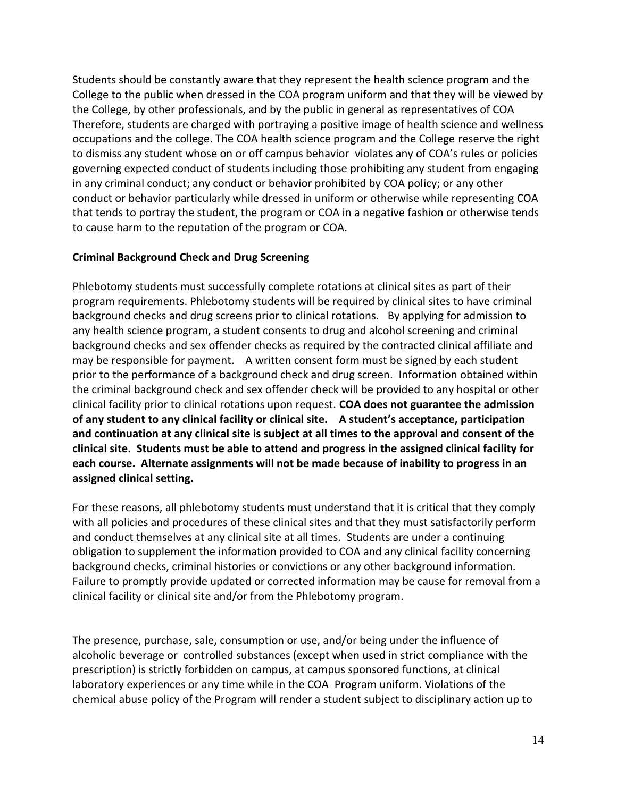Students should be constantly aware that they represent the health science program and the College to the public when dressed in the COA program uniform and that they will be viewed by the College, by other professionals, and by the public in general as representatives of COA Therefore, students are charged with portraying a positive image of health science and wellness occupations and the college. The COA health science program and the College reserve the right to dismiss any student whose on or off campus behavior violates any of COA's rules or policies governing expected conduct of students including those prohibiting any student from engaging in any criminal conduct; any conduct or behavior prohibited by COA policy; or any other conduct or behavior particularly while dressed in uniform or otherwise while representing COA that tends to portray the student, the program or COA in a negative fashion or otherwise tends to cause harm to the reputation of the program or COA.

#### **Criminal Background Check and Drug Screening**

Phlebotomy students must successfully complete rotations at clinical sites as part of their program requirements. Phlebotomy students will be required by clinical sites to have criminal background checks and drug screens prior to clinical rotations. By applying for admission to any health science program, a student consents to drug and alcohol screening and criminal background checks and sex offender checks as required by the contracted clinical affiliate and may be responsible for payment. A written consent form must be signed by each student prior to the performance of a background check and drug screen. Information obtained within the criminal background check and sex offender check will be provided to any hospital or other clinical facility prior to clinical rotations upon request. **COA does not guarantee the admission of any student to any clinical facility or clinical site. A student's acceptance, participation and continuation at any clinical site is subject at all times to the approval and consent of the clinical site. Students must be able to attend and progress in the assigned clinical facility for each course. Alternate assignments will not be made because of inability to progress in an assigned clinical setting.**

For these reasons, all phlebotomy students must understand that it is critical that they comply with all policies and procedures of these clinical sites and that they must satisfactorily perform and conduct themselves at any clinical site at all times. Students are under a continuing obligation to supplement the information provided to COA and any clinical facility concerning background checks, criminal histories or convictions or any other background information. Failure to promptly provide updated or corrected information may be cause for removal from a clinical facility or clinical site and/or from the Phlebotomy program.

The presence, purchase, sale, consumption or use, and/or being under the influence of alcoholic beverage or controlled substances (except when used in strict compliance with the prescription) is strictly forbidden on campus, at campus sponsored functions, at clinical laboratory experiences or any time while in the COA Program uniform. Violations of the chemical abuse policy of the Program will render a student subject to disciplinary action up to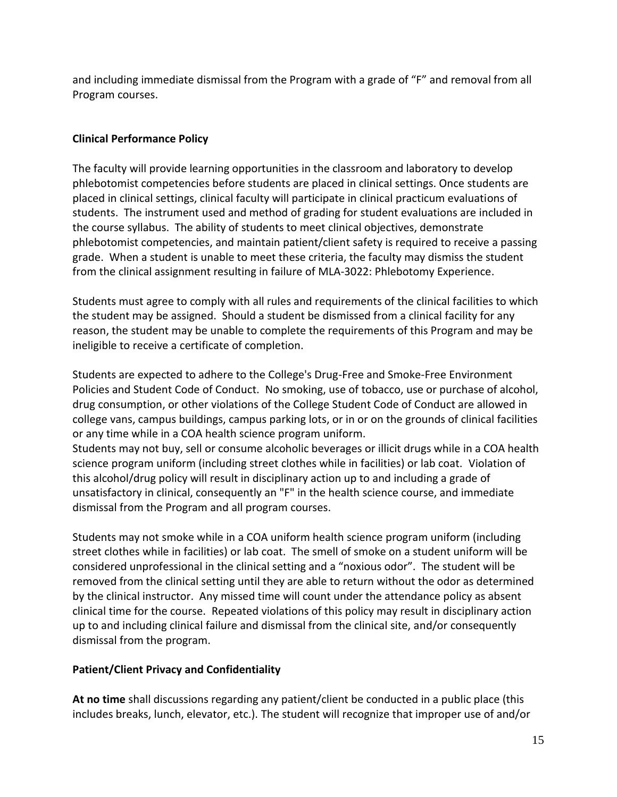and including immediate dismissal from the Program with a grade of "F" and removal from all Program courses.

# **Clinical Performance Policy**

The faculty will provide learning opportunities in the classroom and laboratory to develop phlebotomist competencies before students are placed in clinical settings. Once students are placed in clinical settings, clinical faculty will participate in clinical practicum evaluations of students. The instrument used and method of grading for student evaluations are included in the course syllabus. The ability of students to meet clinical objectives, demonstrate phlebotomist competencies, and maintain patient/client safety is required to receive a passing grade. When a student is unable to meet these criteria, the faculty may dismiss the student from the clinical assignment resulting in failure of MLA-3022: Phlebotomy Experience.

Students must agree to comply with all rules and requirements of the clinical facilities to which the student may be assigned. Should a student be dismissed from a clinical facility for any reason, the student may be unable to complete the requirements of this Program and may be ineligible to receive a certificate of completion.

Students are expected to adhere to the College's Drug-Free and Smoke-Free Environment Policies and Student Code of Conduct. No smoking, use of tobacco, use or purchase of alcohol, drug consumption, or other violations of the College Student Code of Conduct are allowed in college vans, campus buildings, campus parking lots, or in or on the grounds of clinical facilities or any time while in a COA health science program uniform.

Students may not buy, sell or consume alcoholic beverages or illicit drugs while in a COA health science program uniform (including street clothes while in facilities) or lab coat. Violation of this alcohol/drug policy will result in disciplinary action up to and including a grade of unsatisfactory in clinical, consequently an "F" in the health science course, and immediate dismissal from the Program and all program courses.

Students may not smoke while in a COA uniform health science program uniform (including street clothes while in facilities) or lab coat. The smell of smoke on a student uniform will be considered unprofessional in the clinical setting and a "noxious odor". The student will be removed from the clinical setting until they are able to return without the odor as determined by the clinical instructor. Any missed time will count under the attendance policy as absent clinical time for the course. Repeated violations of this policy may result in disciplinary action up to and including clinical failure and dismissal from the clinical site, and/or consequently dismissal from the program.

# **Patient/Client Privacy and Confidentiality**

**At no time** shall discussions regarding any patient/client be conducted in a public place (this includes breaks, lunch, elevator, etc.). The student will recognize that improper use of and/or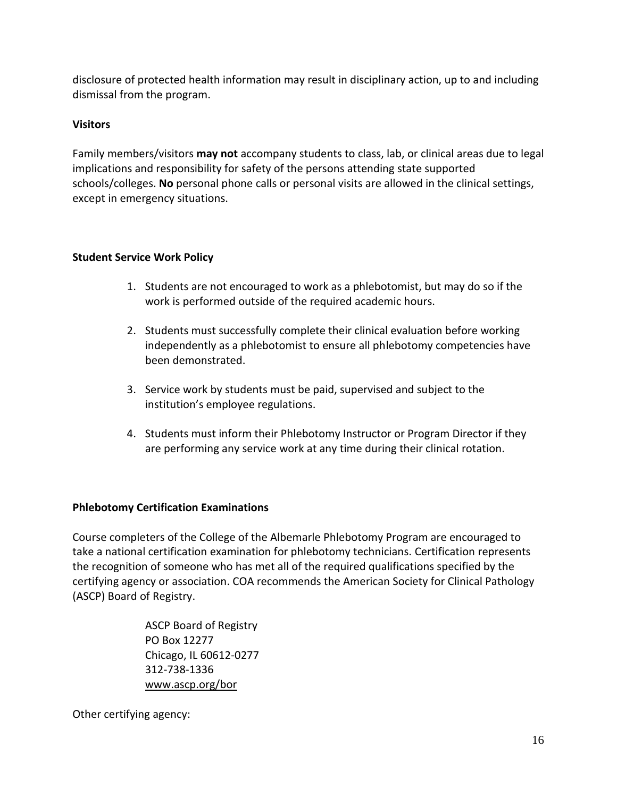disclosure of protected health information may result in disciplinary action, up to and including dismissal from the program.

# **Visitors**

Family members/visitors **may not** accompany students to class, lab, or clinical areas due to legal implications and responsibility for safety of the persons attending state supported schools/colleges. **No** personal phone calls or personal visits are allowed in the clinical settings, except in emergency situations.

# **Student Service Work Policy**

- 1. Students are not encouraged to work as a phlebotomist, but may do so if the work is performed outside of the required academic hours.
- 2. Students must successfully complete their clinical evaluation before working independently as a phlebotomist to ensure all phlebotomy competencies have been demonstrated.
- 3. Service work by students must be paid, supervised and subject to the institution's employee regulations.
- 4. Students must inform their Phlebotomy Instructor or Program Director if they are performing any service work at any time during their clinical rotation.

# **Phlebotomy Certification Examinations**

Course completers of the College of the Albemarle Phlebotomy Program are encouraged to take a national certification examination for phlebotomy technicians. Certification represents the recognition of someone who has met all of the required qualifications specified by the certifying agency or association. COA recommends the American Society for Clinical Pathology (ASCP) Board of Registry.

> ASCP Board of Registry PO Box 12277 Chicago, IL 60612-0277 312-738-1336 [www.ascp.org/bor](http://www.ascp.org/bor)

Other certifying agency: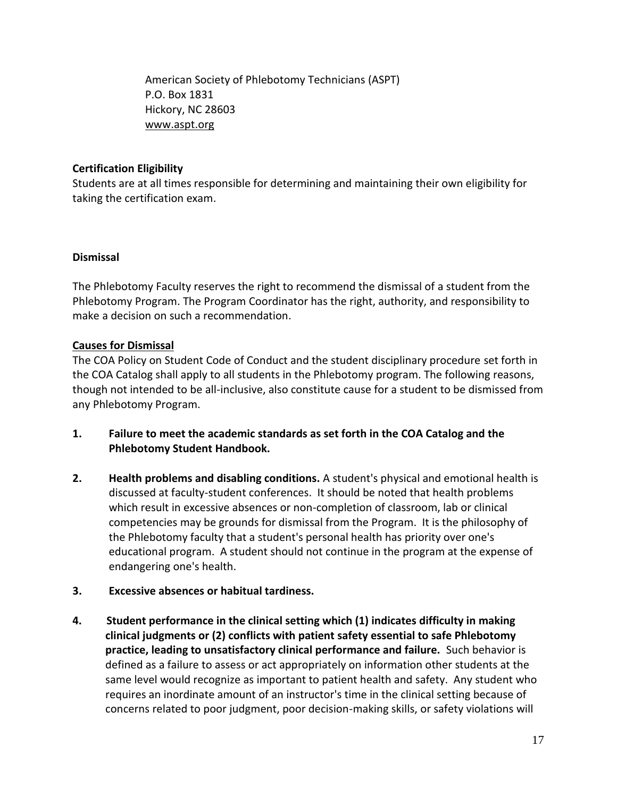American Society of Phlebotomy Technicians (ASPT) P.O. Box 1831 Hickory, NC 28603 [www.aspt.org](http://www.aspt.org/)

# **Certification Eligibility**

Students are at all times responsible for determining and maintaining their own eligibility for taking the certification exam.

# **Dismissal**

The Phlebotomy Faculty reserves the right to recommend the dismissal of a student from the Phlebotomy Program. The Program Coordinator has the right, authority, and responsibility to make a decision on such a recommendation.

# **Causes for Dismissal**

The COA Policy on Student Code of Conduct and the student disciplinary procedure set forth in the COA Catalog shall apply to all students in the Phlebotomy program. The following reasons, though not intended to be all-inclusive, also constitute cause for a student to be dismissed from any Phlebotomy Program.

- **1. Failure to meet the academic standards as set forth in the COA Catalog and the Phlebotomy Student Handbook.**
- **2. Health problems and disabling conditions.** A student's physical and emotional health is discussed at faculty-student conferences. It should be noted that health problems which result in excessive absences or non-completion of classroom, lab or clinical competencies may be grounds for dismissal from the Program. It is the philosophy of the Phlebotomy faculty that a student's personal health has priority over one's educational program. A student should not continue in the program at the expense of endangering one's health.
- **3. Excessive absences or habitual tardiness.**
- **4. Student performance in the clinical setting which (1) indicates difficulty in making clinical judgments or (2) conflicts with patient safety essential to safe Phlebotomy practice, leading to unsatisfactory clinical performance and failure.** Such behavior is defined as a failure to assess or act appropriately on information other students at the same level would recognize as important to patient health and safety. Any student who requires an inordinate amount of an instructor's time in the clinical setting because of concerns related to poor judgment, poor decision-making skills, or safety violations will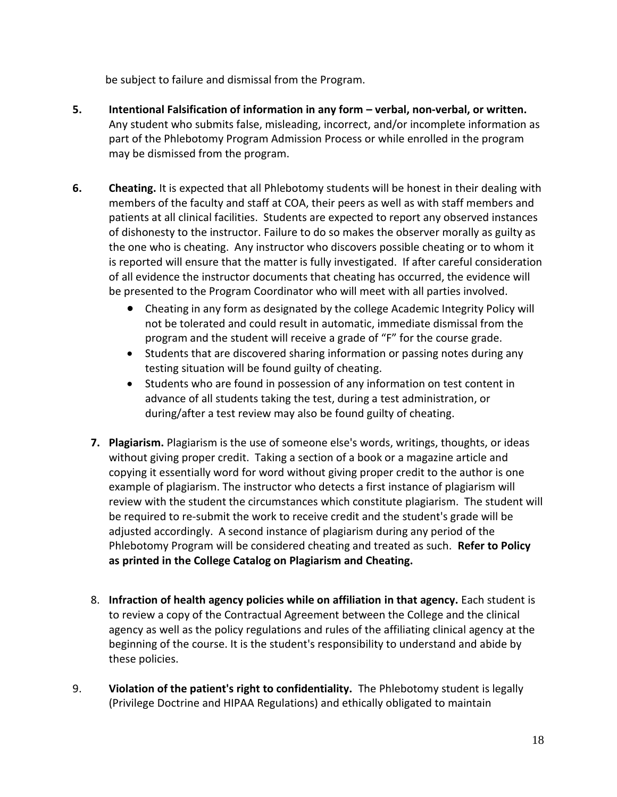be subject to failure and dismissal from the Program.

- **5. Intentional Falsification of information in any form – verbal, non-verbal, or written.** Any student who submits false, misleading, incorrect, and/or incomplete information as part of the Phlebotomy Program Admission Process or while enrolled in the program may be dismissed from the program.
- **6.** Cheating. It is expected that all Phlebotomy students will be honest in their dealing with members of the faculty and staff at COA, their peers as well as with staff members and patients at all clinical facilities. Students are expected to report any observed instances of dishonesty to the instructor. Failure to do so makes the observer morally as guilty as the one who is cheating. Any instructor who discovers possible cheating or to whom it is reported will ensure that the matter is fully investigated. If after careful consideration of all evidence the instructor documents that cheating has occurred, the evidence will be presented to the Program Coordinator who will meet with all parties involved.
	- Cheating in any form as designated by the college Academic Integrity Policy will not be tolerated and could result in automatic, immediate dismissal from the program and the student will receive a grade of "F" for the course grade.
	- Students that are discovered sharing information or passing notes during any testing situation will be found guilty of cheating.
	- Students who are found in possession of any information on test content in advance of all students taking the test, during a test administration, or during/after a test review may also be found guilty of cheating.
	- **7. Plagiarism.** Plagiarism is the use of someone else's words, writings, thoughts, or ideas without giving proper credit. Taking a section of a book or a magazine article and copying it essentially word for word without giving proper credit to the author is one example of plagiarism. The instructor who detects a first instance of plagiarism will review with the student the circumstances which constitute plagiarism. The student will be required to re-submit the work to receive credit and the student's grade will be adjusted accordingly. A second instance of plagiarism during any period of the Phlebotomy Program will be considered cheating and treated as such. **Refer to Policy as printed in the College Catalog on Plagiarism and Cheating.**
	- 8. **Infraction of health agency policies while on affiliation in that agency.** Each student is to review a copy of the Contractual Agreement between the College and the clinical agency as well as the policy regulations and rules of the affiliating clinical agency at the beginning of the course. It is the student's responsibility to understand and abide by these policies.
- 9. **Violation of the patient's right to confidentiality.** The Phlebotomy student is legally (Privilege Doctrine and HIPAA Regulations) and ethically obligated to maintain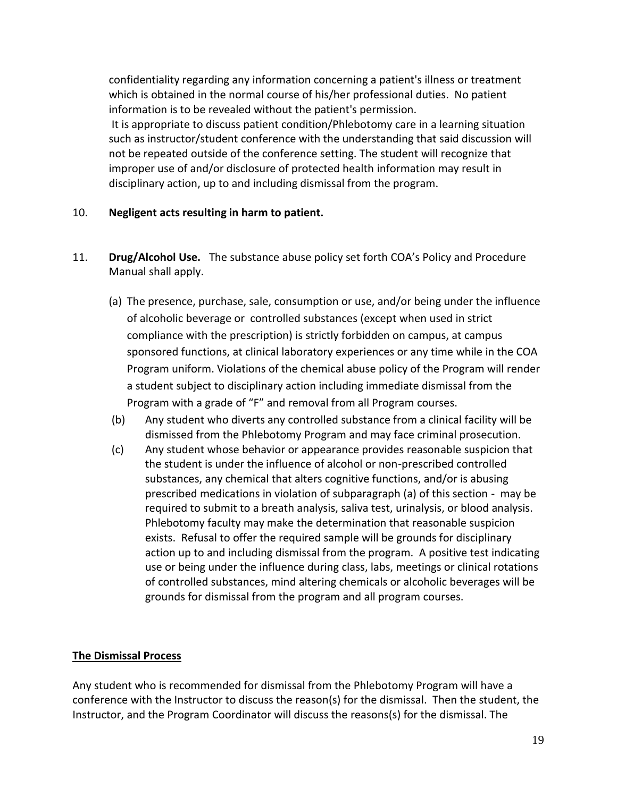confidentiality regarding any information concerning a patient's illness or treatment which is obtained in the normal course of his/her professional duties. No patient information is to be revealed without the patient's permission.

It is appropriate to discuss patient condition/Phlebotomy care in a learning situation such as instructor/student conference with the understanding that said discussion will not be repeated outside of the conference setting. The student will recognize that improper use of and/or disclosure of protected health information may result in disciplinary action, up to and including dismissal from the program.

# 10. **Negligent acts resulting in harm to patient.**

- 11. **Drug/Alcohol Use.** The substance abuse policy set forth COA's Policy and Procedure Manual shall apply.
	- (a) The presence, purchase, sale, consumption or use, and/or being under the influence of alcoholic beverage or controlled substances (except when used in strict compliance with the prescription) is strictly forbidden on campus, at campus sponsored functions, at clinical laboratory experiences or any time while in the COA Program uniform. Violations of the chemical abuse policy of the Program will render a student subject to disciplinary action including immediate dismissal from the Program with a grade of "F" and removal from all Program courses.
	- (b) Any student who diverts any controlled substance from a clinical facility will be dismissed from the Phlebotomy Program and may face criminal prosecution.
	- (c) Any student whose behavior or appearance provides reasonable suspicion that the student is under the influence of alcohol or non-prescribed controlled substances, any chemical that alters cognitive functions, and/or is abusing prescribed medications in violation of subparagraph (a) of this section - may be required to submit to a breath analysis, saliva test, urinalysis, or blood analysis. Phlebotomy faculty may make the determination that reasonable suspicion exists. Refusal to offer the required sample will be grounds for disciplinary action up to and including dismissal from the program. A positive test indicating use or being under the influence during class, labs, meetings or clinical rotations of controlled substances, mind altering chemicals or alcoholic beverages will be grounds for dismissal from the program and all program courses.

#### **The Dismissal Process**

Any student who is recommended for dismissal from the Phlebotomy Program will have a conference with the Instructor to discuss the reason(s) for the dismissal. Then the student, the Instructor, and the Program Coordinator will discuss the reasons(s) for the dismissal. The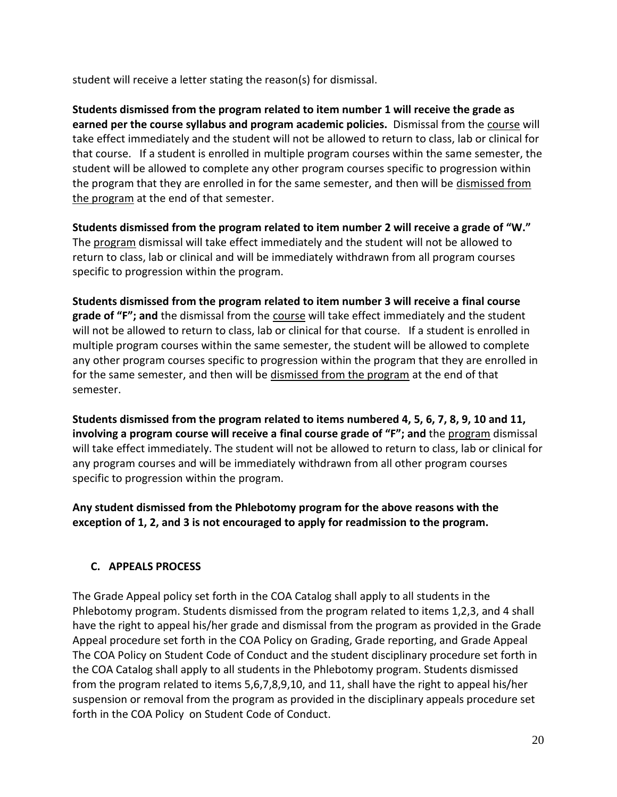student will receive a letter stating the reason(s) for dismissal.

**Students dismissed from the program related to item number 1 will receive the grade as earned per the course syllabus and program academic policies.** Dismissal from the course will take effect immediately and the student will not be allowed to return to class, lab or clinical for that course. If a student is enrolled in multiple program courses within the same semester, the student will be allowed to complete any other program courses specific to progression within the program that they are enrolled in for the same semester, and then will be dismissed from the program at the end of that semester.

**Students dismissed from the program related to item number 2 will receive a grade of "W."**  The program dismissal will take effect immediately and the student will not be allowed to return to class, lab or clinical and will be immediately withdrawn from all program courses specific to progression within the program.

**Students dismissed from the program related to item number 3 will receive a final course grade of "F"; and** the dismissal from the course will take effect immediately and the student will not be allowed to return to class, lab or clinical for that course. If a student is enrolled in multiple program courses within the same semester, the student will be allowed to complete any other program courses specific to progression within the program that they are enrolled in for the same semester, and then will be dismissed from the program at the end of that semester.

**Students dismissed from the program related to items numbered 4, 5, 6, 7, 8, 9, 10 and 11, involving a program course will receive a final course grade of "F"; and** the program dismissal will take effect immediately. The student will not be allowed to return to class, lab or clinical for any program courses and will be immediately withdrawn from all other program courses specific to progression within the program.

**Any student dismissed from the Phlebotomy program for the above reasons with the exception of 1, 2, and 3 is not encouraged to apply for readmission to the program.** 

# **C. APPEALS PROCESS**

The Grade Appeal policy set forth in the COA Catalog shall apply to all students in the Phlebotomy program. Students dismissed from the program related to items 1,2,3, and 4 shall have the right to appeal his/her grade and dismissal from the program as provided in the Grade Appeal procedure set forth in the COA Policy on Grading, Grade reporting, and Grade Appeal The COA Policy on Student Code of Conduct and the student disciplinary procedure set forth in the COA Catalog shall apply to all students in the Phlebotomy program. Students dismissed from the program related to items 5,6,7,8,9,10, and 11, shall have the right to appeal his/her suspension or removal from the program as provided in the disciplinary appeals procedure set forth in the COA Policy on Student Code of Conduct.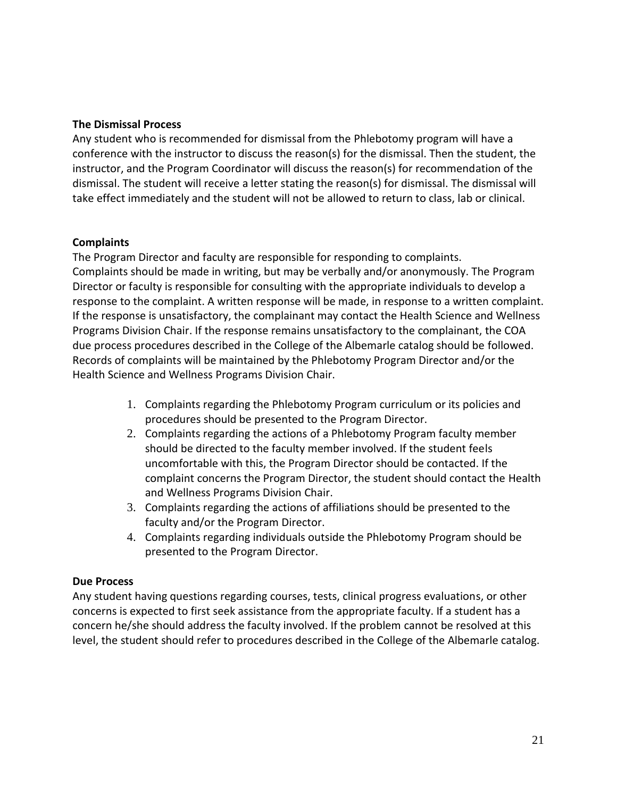#### **The Dismissal Process**

Any student who is recommended for dismissal from the Phlebotomy program will have a conference with the instructor to discuss the reason(s) for the dismissal. Then the student, the instructor, and the Program Coordinator will discuss the reason(s) for recommendation of the dismissal. The student will receive a letter stating the reason(s) for dismissal. The dismissal will take effect immediately and the student will not be allowed to return to class, lab or clinical.

# **Complaints**

The Program Director and faculty are responsible for responding to complaints. Complaints should be made in writing, but may be verbally and/or anonymously. The Program Director or faculty is responsible for consulting with the appropriate individuals to develop a response to the complaint. A written response will be made, in response to a written complaint. If the response is unsatisfactory, the complainant may contact the Health Science and Wellness Programs Division Chair. If the response remains unsatisfactory to the complainant, the COA due process procedures described in the College of the Albemarle catalog should be followed. Records of complaints will be maintained by the Phlebotomy Program Director and/or the Health Science and Wellness Programs Division Chair.

- 1. Complaints regarding the Phlebotomy Program curriculum or its policies and procedures should be presented to the Program Director.
- 2. Complaints regarding the actions of a Phlebotomy Program faculty member should be directed to the faculty member involved. If the student feels uncomfortable with this, the Program Director should be contacted. If the complaint concerns the Program Director, the student should contact the Health and Wellness Programs Division Chair.
- 3. Complaints regarding the actions of affiliations should be presented to the faculty and/or the Program Director.
- 4. Complaints regarding individuals outside the Phlebotomy Program should be presented to the Program Director.

# **Due Process**

Any student having questions regarding courses, tests, clinical progress evaluations, or other concerns is expected to first seek assistance from the appropriate faculty. If a student has a concern he/she should address the faculty involved. If the problem cannot be resolved at this level, the student should refer to procedures described in the College of the Albemarle catalog.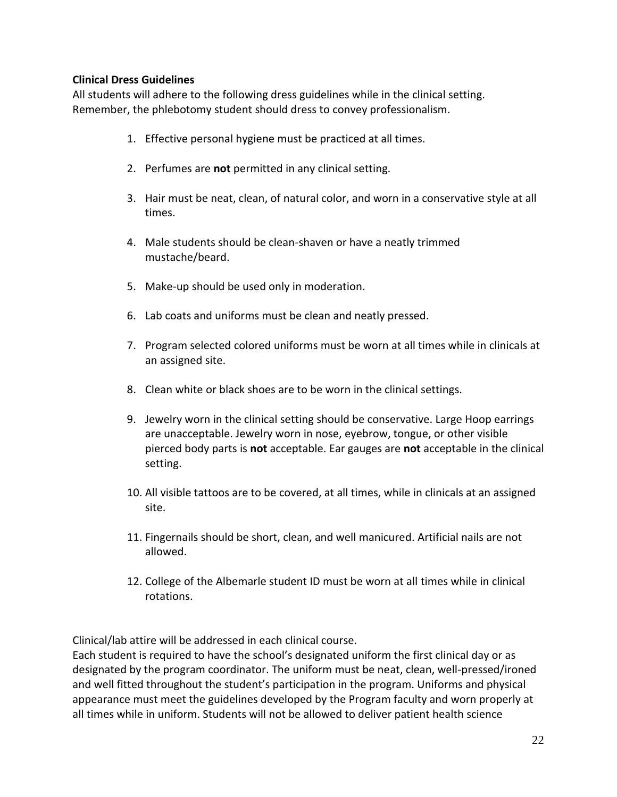# **Clinical Dress Guidelines**

All students will adhere to the following dress guidelines while in the clinical setting. Remember, the phlebotomy student should dress to convey professionalism.

- 1. Effective personal hygiene must be practiced at all times.
- 2. Perfumes are **not** permitted in any clinical setting.
- 3. Hair must be neat, clean, of natural color, and worn in a conservative style at all times.
- 4. Male students should be clean-shaven or have a neatly trimmed mustache/beard.
- 5. Make-up should be used only in moderation.
- 6. Lab coats and uniforms must be clean and neatly pressed.
- 7. Program selected colored uniforms must be worn at all times while in clinicals at an assigned site.
- 8. Clean white or black shoes are to be worn in the clinical settings.
- 9. Jewelry worn in the clinical setting should be conservative. Large Hoop earrings are unacceptable. Jewelry worn in nose, eyebrow, tongue, or other visible pierced body parts is **not** acceptable. Ear gauges are **not** acceptable in the clinical setting.
- 10. All visible tattoos are to be covered, at all times, while in clinicals at an assigned site.
- 11. Fingernails should be short, clean, and well manicured. Artificial nails are not allowed.
- 12. College of the Albemarle student ID must be worn at all times while in clinical rotations.

Clinical/lab attire will be addressed in each clinical course.

Each student is required to have the school's designated uniform the first clinical day or as designated by the program coordinator. The uniform must be neat, clean, well-pressed/ironed and well fitted throughout the student's participation in the program. Uniforms and physical appearance must meet the guidelines developed by the Program faculty and worn properly at all times while in uniform. Students will not be allowed to deliver patient health science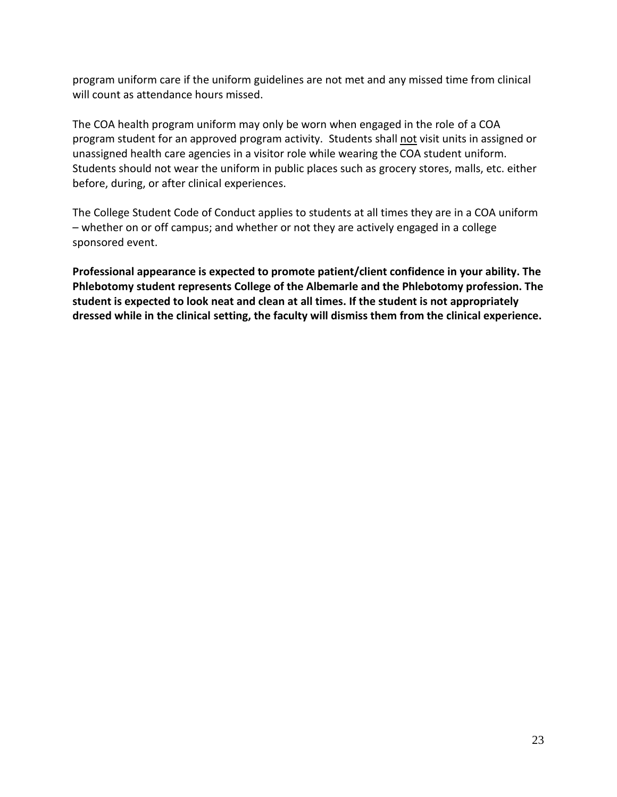program uniform care if the uniform guidelines are not met and any missed time from clinical will count as attendance hours missed.

The COA health program uniform may only be worn when engaged in the role of a COA program student for an approved program activity. Students shall not visit units in assigned or unassigned health care agencies in a visitor role while wearing the COA student uniform. Students should not wear the uniform in public places such as grocery stores, malls, etc. either before, during, or after clinical experiences.

The College Student Code of Conduct applies to students at all times they are in a COA uniform – whether on or off campus; and whether or not they are actively engaged in a college sponsored event.

**Professional appearance is expected to promote patient/client confidence in your ability. The Phlebotomy student represents College of the Albemarle and the Phlebotomy profession. The student is expected to look neat and clean at all times. If the student is not appropriately dressed while in the clinical setting, the faculty will dismiss them from the clinical experience.**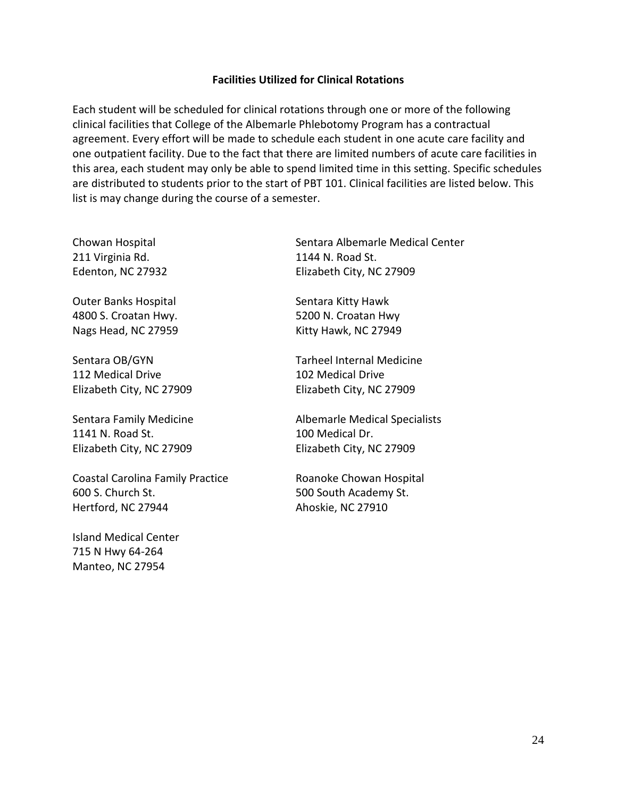#### **Facilities Utilized for Clinical Rotations**

Each student will be scheduled for clinical rotations through one or more of the following clinical facilities that College of the Albemarle Phlebotomy Program has a contractual agreement. Every effort will be made to schedule each student in one acute care facility and one outpatient facility. Due to the fact that there are limited numbers of acute care facilities in this area, each student may only be able to spend limited time in this setting. Specific schedules are distributed to students prior to the start of PBT 101. Clinical facilities are listed below. This list is may change during the course of a semester.

Chowan Hospital 211 Virginia Rd. Edenton, NC 27932

Outer Banks Hospital 4800 S. Croatan Hwy. Nags Head, NC 27959

Sentara OB/GYN 112 Medical Drive Elizabeth City, NC 27909

Sentara Family Medicine 1141 N. Road St. Elizabeth City, NC 27909

Coastal Carolina Family Practice 600 S. Church St. Hertford, NC 27944

Island Medical Center 715 N Hwy 64-264 Manteo, NC 27954

Sentara Albemarle Medical Center 1144 N. Road St. Elizabeth City, NC 27909

Sentara Kitty Hawk 5200 N. Croatan Hwy Kitty Hawk, NC 27949

Tarheel Internal Medicine 102 Medical Drive Elizabeth City, NC 27909

Albemarle Medical Specialists 100 Medical Dr. Elizabeth City, NC 27909

Roanoke Chowan Hospital 500 South Academy St. Ahoskie, NC 27910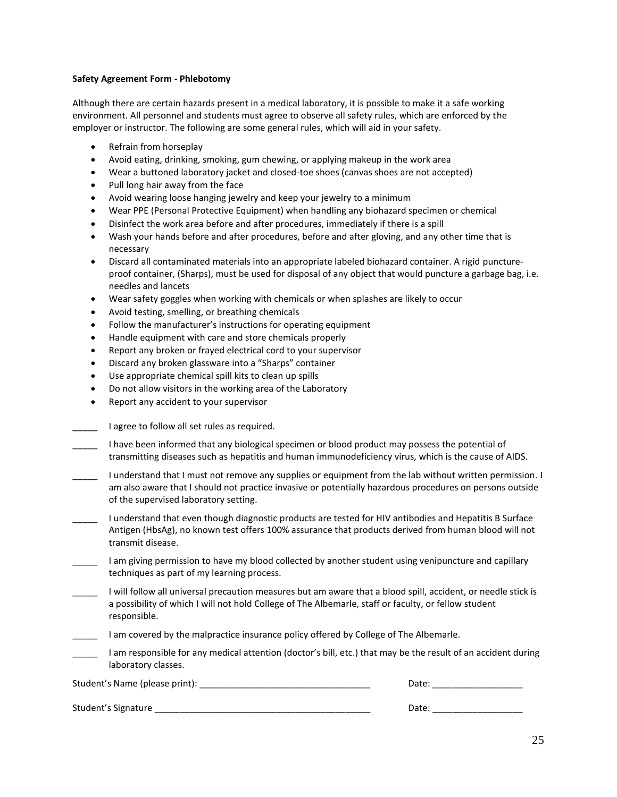#### **Safety Agreement Form - Phlebotomy**

Although there are certain hazards present in a medical laboratory, it is possible to make it a safe working environment. All personnel and students must agree to observe all safety rules, which are enforced by the employer or instructor. The following are some general rules, which will aid in your safety.

- Refrain from horseplay
- Avoid eating, drinking, smoking, gum chewing, or applying makeup in the work area
- Wear a buttoned laboratory jacket and closed-toe shoes (canvas shoes are not accepted)
- Pull long hair away from the face
- Avoid wearing loose hanging jewelry and keep your jewelry to a minimum
- Wear PPE (Personal Protective Equipment) when handling any biohazard specimen or chemical
- Disinfect the work area before and after procedures, immediately if there is a spill
- Wash your hands before and after procedures, before and after gloving, and any other time that is necessary
- Discard all contaminated materials into an appropriate labeled biohazard container. A rigid punctureproof container, (Sharps), must be used for disposal of any object that would puncture a garbage bag, i.e. needles and lancets
- Wear safety goggles when working with chemicals or when splashes are likely to occur
- Avoid testing, smelling, or breathing chemicals
- Follow the manufacturer's instructions for operating equipment
- Handle equipment with care and store chemicals properly
- Report any broken or frayed electrical cord to your supervisor
- Discard any broken glassware into a "Sharps" container
- Use appropriate chemical spill kits to clean up spills
- Do not allow visitors in the working area of the Laboratory
- Report any accident to your supervisor

|  | I agree to follow all set rules as required. |
|--|----------------------------------------------|
|--|----------------------------------------------|

| I have been informed that any biological specimen or blood product may possess the potential of       |
|-------------------------------------------------------------------------------------------------------|
| transmitting diseases such as hepatitis and human immunodeficiency virus, which is the cause of AIDS. |

- I understand that I must not remove any supplies or equipment from the lab without written permission. I am also aware that I should not practice invasive or potentially hazardous procedures on persons outside of the supervised laboratory setting.
- \_\_\_\_\_ I understand that even though diagnostic products are tested for HIV antibodies and Hepatitis B Surface Antigen (HbsAg), no known test offers 100% assurance that products derived from human blood will not transmit disease.
- Lam giving permission to have my blood collected by another student using venipuncture and capillary techniques as part of my learning process.
- \_\_\_\_\_ I will follow all universal precaution measures but am aware that a blood spill, accident, or needle stick is a possibility of which I will not hold College of The Albemarle, staff or faculty, or fellow student responsible.
- \_\_\_\_\_ I am covered by the malpractice insurance policy offered by College of The Albemarle.
- \_\_\_\_\_ I am responsible for any medical attention (doctor's bill, etc.) that may be the result of an accident during laboratory classes.

Student's Name (please print): \_\_\_\_\_\_\_\_\_\_\_\_\_\_\_\_\_\_\_\_\_\_\_\_\_\_\_\_\_\_\_\_\_\_ Date: \_\_\_\_\_\_\_\_\_\_\_\_\_\_\_\_\_\_

|  | Student's Signature |
|--|---------------------|
|--|---------------------|

Date:  $\frac{S}{S}$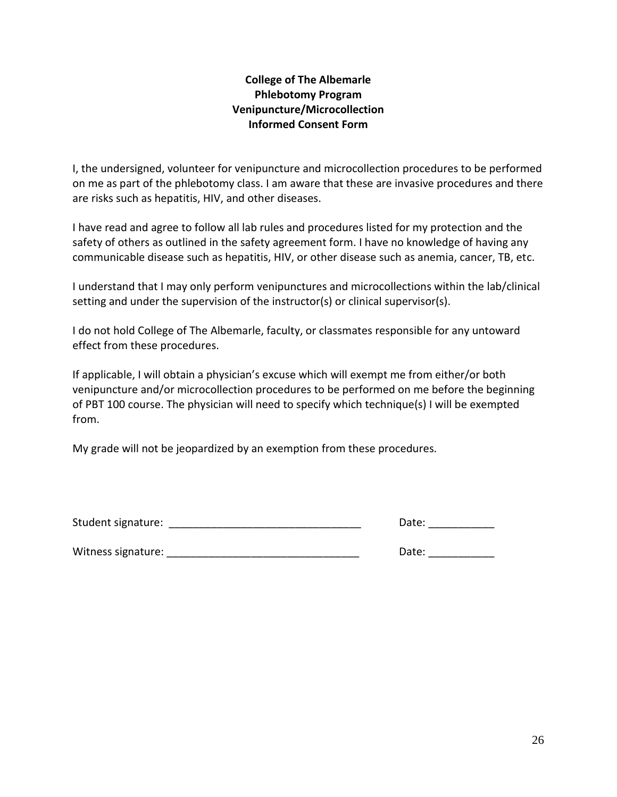# **College of The Albemarle Phlebotomy Program Venipuncture/Microcollection Informed Consent Form**

I, the undersigned, volunteer for venipuncture and microcollection procedures to be performed on me as part of the phlebotomy class. I am aware that these are invasive procedures and there are risks such as hepatitis, HIV, and other diseases.

I have read and agree to follow all lab rules and procedures listed for my protection and the safety of others as outlined in the safety agreement form. I have no knowledge of having any communicable disease such as hepatitis, HIV, or other disease such as anemia, cancer, TB, etc.

I understand that I may only perform venipunctures and microcollections within the lab/clinical setting and under the supervision of the instructor(s) or clinical supervisor(s).

I do not hold College of The Albemarle, faculty, or classmates responsible for any untoward effect from these procedures.

If applicable, I will obtain a physician's excuse which will exempt me from either/or both venipuncture and/or microcollection procedures to be performed on me before the beginning of PBT 100 course. The physician will need to specify which technique(s) I will be exempted from.

My grade will not be jeopardized by an exemption from these procedures.

| Student signature: | Date: |
|--------------------|-------|
|                    |       |

Witness signature: \_\_\_\_\_\_\_\_\_\_\_\_\_\_\_\_\_\_\_\_\_\_\_\_\_\_\_\_\_\_\_\_ Date: \_\_\_\_\_\_\_\_\_\_\_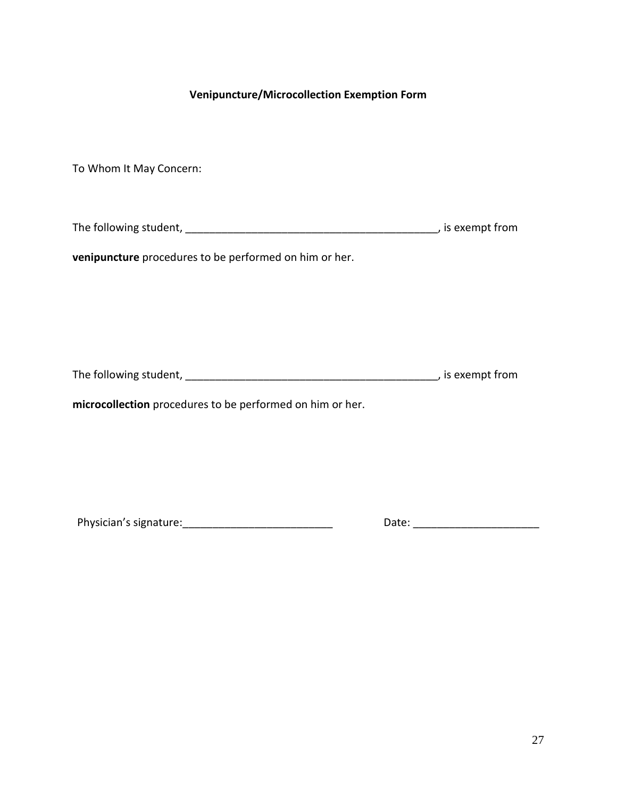# **Venipuncture/Microcollection Exemption Form**

To Whom It May Concern:

The following student, \_\_\_\_\_\_\_\_\_\_\_\_\_\_\_\_\_\_\_\_\_\_\_\_\_\_\_\_\_\_\_\_\_\_\_\_\_\_\_\_\_\_, is exempt from

**venipuncture** procedures to be performed on him or her.

The following student, \_\_\_\_\_\_\_\_\_\_\_\_\_\_\_\_\_\_\_\_\_\_\_\_\_\_\_\_\_\_\_\_\_\_\_\_\_\_\_\_\_\_, is exempt from

**microcollection** procedures to be performed on him or her.

Physician's signature:\_\_\_\_\_\_\_\_\_\_\_\_\_\_\_\_\_\_\_\_\_\_\_\_\_ Date: \_\_\_\_\_\_\_\_\_\_\_\_\_\_\_\_\_\_\_\_\_